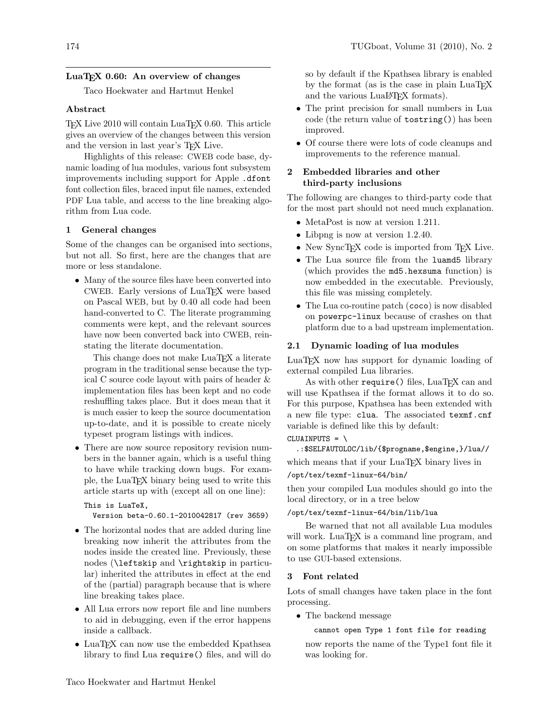# LuaT<sub>EX</sub> 0.60: An overview of changes

Taco Hoekwater and Hartmut Henkel

# Abstract

TEX Live 2010 will contain LuaTEX 0.60. This article gives an overview of the changes between this version and the version in last year's TEX Live.

Highlights of this release: CWEB code base, dynamic loading of lua modules, various font subsystem improvements including support for Apple .dfont font collection files, braced input file names, extended PDF Lua table, and access to the line breaking algorithm from Lua code.

### 1 General changes

Some of the changes can be organised into sections, but not all. So first, here are the changes that are more or less standalone.

• Many of the source files have been converted into CWEB. Early versions of LuaT<sub>E</sub>X were based on Pascal WEB, but by 0.40 all code had been hand-converted to C. The literate programming comments were kept, and the relevant sources have now been converted back into CWEB, reinstating the literate documentation.

This change does not make LuaT<sub>E</sub>X a literate program in the traditional sense because the typical C source code layout with pairs of header & implementation files has been kept and no code reshuffling takes place. But it does mean that it is much easier to keep the source documentation up-to-date, and it is possible to create nicely typeset program listings with indices.

• There are now source repository revision numbers in the banner again, which is a useful thing to have while tracking down bugs. For example, the LuaTEX binary being used to write this article starts up with (except all on one line):

```
This is LuaTeX,
```
Version beta-0.60.1-2010042817 (rev 3659)

- The horizontal nodes that are added during line breaking now inherit the attributes from the nodes inside the created line. Previously, these nodes (\leftskip and \rightskip in particular) inherited the attributes in effect at the end of the (partial) paragraph because that is where line breaking takes place.
- All Lua errors now report file and line numbers to aid in debugging, even if the error happens inside a callback.
- LuaT<sub>EX</sub> can now use the embedded Kpathsea library to find Lua require() files, and will do

so by default if the Kpathsea library is enabled by the format (as is the case in plain LuaTEX and the various LuaL<sup>AT</sup>EX formats).

- The print precision for small numbers in Lua code (the return value of tostring()) has been improved.
- Of course there were lots of code cleanups and improvements to the reference manual.

# 2 Embedded libraries and other third-party inclusions

The following are changes to third-party code that for the most part should not need much explanation.

- MetaPost is now at version 1.211.
- Libpng is now at version 1.2.40.
- New SyncT<sub>EX</sub> code is imported from T<sub>EX</sub> Live.
- The Lua source file from the luamd5 library (which provides the md5.hexsuma function) is now embedded in the executable. Previously, this file was missing completely.
- The Lua co-routine patch (coco) is now disabled on powerpc-linux because of crashes on that platform due to a bad upstream implementation.

#### 2.1 Dynamic loading of lua modules

LuaTEX now has support for dynamic loading of external compiled Lua libraries.

As with other require() files, LuaTFX can and will use Kpathsea if the format allows it to do so. For this purpose, Kpathsea has been extended with a new file type: clua. The associated texmf.cnf variable is defined like this by default:

 $CLUAINPUTS = \n\$ 

.:\$SELFAUTOLOC/lib/{\$progname,\$engine,}/lua// which means that if your LuaTEX binary lives in

/opt/tex/texmf-linux-64/bin/

then your compiled Lua modules should go into the local directory, or in a tree below

# /opt/tex/texmf-linux-64/bin/lib/lua

Be warned that not all available Lua modules will work. LuaT<sub>EX</sub> is a command line program, and on some platforms that makes it nearly impossible to use GUI-based extensions.

#### 3 Font related

Lots of small changes have taken place in the font processing.

• The backend message

#### cannot open Type 1 font file for reading

now reports the name of the Type1 font file it was looking for.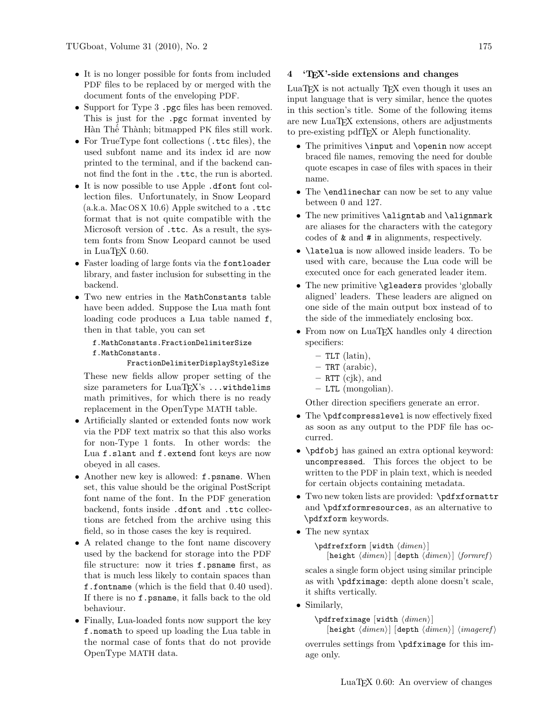- It is no longer possible for fonts from included PDF files to be replaced by or merged with the document fonts of the enveloping PDF.
- Support for Type 3 .pgc files has been removed. This is just for the .pgc format invented by Hàn Thế Thành; bitmapped PK files still work.
- For TrueType font collections (.ttc files), the used subfont name and its index id are now printed to the terminal, and if the backend cannot find the font in the .ttc, the run is aborted.
- It is now possible to use Apple .dfont font collection files. Unfortunately, in Snow Leopard  $(a.k.a. Mac OS X 10.6)$  Apple switched to a .ttc format that is not quite compatible with the Microsoft version of .ttc. As a result, the system fonts from Snow Leopard cannot be used in  $LuaT$ <sub>E</sub>X 0.60.
- Faster loading of large fonts via the fontloader library, and faster inclusion for subsetting in the backend.
- Two new entries in the MathConstants table have been added. Suppose the Lua math font loading code produces a Lua table named f, then in that table, you can set

f.MathConstants.FractionDelimiterSize f.MathConstants.

FractionDelimiterDisplayStyleSize

These new fields allow proper setting of the size parameters for  $LuaTFX's ... with$ delims math primitives, for which there is no ready replacement in the OpenType MATH table.

- Artificially slanted or extended fonts now work via the PDF text matrix so that this also works for non-Type 1 fonts. In other words: the Lua f.slant and f.extend font keys are now obeyed in all cases.
- Another new key is allowed: f.psname. When set, this value should be the original PostScript font name of the font. In the PDF generation backend, fonts inside .dfont and .ttc collections are fetched from the archive using this field, so in those cases the key is required.
- A related change to the font name discovery used by the backend for storage into the PDF file structure: now it tries f.psname first, as that is much less likely to contain spaces than f.fontname (which is the field that 0.40 used). If there is no f.psname, it falls back to the old behaviour.
- Finally, Lua-loaded fonts now support the key f.nomath to speed up loading the Lua table in the normal case of fonts that do not provide OpenType MATH data.

# 4 'TEX'-side extensions and changes

LuaTEX is not actually TEX even though it uses an input language that is very similar, hence the quotes in this section's title. Some of the following items are new LuaTEX extensions, others are adjustments to pre-existing pdfTEX or Aleph functionality.

- The primitives \input and \openin now accept braced file names, removing the need for double quote escapes in case of files with spaces in their name.
- The \endlinechar can now be set to any value between 0 and 127.
- The new primitives \aligntab and \alignmark are aliases for the characters with the category codes of & and # in alignments, respectively.
- \latelua is now allowed inside leaders. To be used with care, because the Lua code will be executed once for each generated leader item.
- The new primitive \gleaders provides 'globally aligned' leaders. These leaders are aligned on one side of the main output box instead of to the side of the immediately enclosing box.
- From now on LuaT<sub>EX</sub> handles only 4 direction specifiers:
	- TLT (latin),
	- TRT (arabic),
	- $-$  RTT (cjk), and
	- LTL (mongolian).

Other direction specifiers generate an error.

- The \pdfcompresslevel is now effectively fixed as soon as any output to the PDF file has occurred.
- \pdfobj has gained an extra optional keyword: uncompressed. This forces the object to be written to the PDF in plain text, which is needed for certain objects containing metadata.
- Two new token lists are provided: \pdfxformattr and \pdfxformresources, as an alternative to \pdfxform keywords.
- The new syntax

```
\left\{ \text{with } \dim en \right\}[height \langle dimen \rangle] [depth \langle dimen \rangle] \langle formref \rangle
```
scales a single form object using similar principle as with \pdfximage: depth alone doesn't scale, it shifts vertically.

• Similarly,

```
\left\{ \text{wight } \{ \text{dimen} \} \right\}
```
[height  $\langle dimen \rangle$ ] [depth  $\langle dimen \rangle$ ]  $\langle imageref \rangle$ 

overrules settings from \pdfximage for this image only.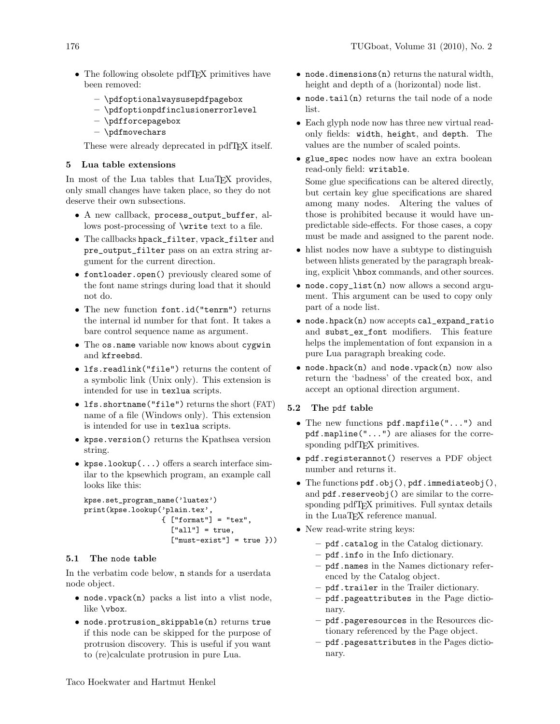- The following obsolete pdfT<sub>E</sub>X primitives have been removed:
	- \pdfoptionalwaysusepdfpagebox
	- \pdfoptionpdfinclusionerrorlevel
	- \pdfforcepagebox
	- \pdfmovechars

These were already deprecated in pdfT<sub>F</sub>X itself.

# 5 Lua table extensions

In most of the Lua tables that LuaTEX provides, only small changes have taken place, so they do not deserve their own subsections.

- A new callback, process\_output\_buffer, allows post-processing of \write text to a file.
- The callbacks hpack\_filter, vpack\_filter and pre\_output\_filter pass on an extra string argument for the current direction.
- fontloader.open() previously cleared some of the font name strings during load that it should not do.
- The new function font.id("tenrm") returns the internal id number for that font. It takes a bare control sequence name as argument.
- The os.name variable now knows about cygwin and kfreebsd.
- lfs.readlink("file") returns the content of a symbolic link (Unix only). This extension is intended for use in texlua scripts.
- lfs.shortname("file") returns the short (FAT) name of a file (Windows only). This extension is intended for use in texlua scripts.
- kpse.version() returns the Kpathsea version string.
- kpse.lookup $(\ldots)$  offers a search interface similar to the kpsewhich program, an example call looks like this:

```
kpse.set_program_name('luatex')
print(kpse.lookup('plain.tex',
                  {["format"] = "tex",
                    ['all"] = true,["must-exist"] = true }))
```
# 5.1 The node table

In the verbatim code below, n stands for a userdata node object.

- node.vpack(n) packs a list into a vlist node, like \vbox.
- node.protrusion\_skippable(n) returns true if this node can be skipped for the purpose of protrusion discovery. This is useful if you want to (re)calculate protrusion in pure Lua.
- node.dimensions(n) returns the natural width, height and depth of a (horizontal) node list.
- node.tail(n) returns the tail node of a node list.
- Each glyph node now has three new virtual readonly fields: width, height, and depth. The values are the number of scaled points.
- glue\_spec nodes now have an extra boolean read-only field: writable. Some glue specifications can be altered directly, but certain key glue specifications are shared

among many nodes. Altering the values of those is prohibited because it would have unpredictable side-effects. For those cases, a copy must be made and assigned to the parent node.

- hlist nodes now have a subtype to distinguish between hlists generated by the paragraph breaking, explicit \hbox commands, and other sources.
- node.copy\_list(n) now allows a second argument. This argument can be used to copy only part of a node list.
- node.hpack(n) now accepts cal\_expand\_ratio and subst\_ex\_font modifiers. This feature helps the implementation of font expansion in a pure Lua paragraph breaking code.
- node.hpack $(n)$  and node.vpack $(n)$  now also return the 'badness' of the created box, and accept an optional direction argument.

#### 5.2 The pdf table

- The new functions pdf.mapfile("...") and pdf.mapline("...") are aliases for the corresponding pdfT<sub>E</sub>X primitives.
- pdf.registerannot() reserves a PDF object number and returns it.
- The functions pdf.obj(), pdf.immediateobj(), and pdf.reserveobj() are similar to the corresponding pdfTEX primitives. Full syntax details in the LuaTEX reference manual.
- New read-write string keys:
	- pdf.catalog in the Catalog dictionary.
	- pdf.info in the Info dictionary.
	- pdf.names in the Names dictionary referenced by the Catalog object.
	- pdf.trailer in the Trailer dictionary.
	- pdf.pageattributes in the Page dictionary.
	- pdf.pageresources in the Resources dictionary referenced by the Page object.
	- pdf.pagesattributes in the Pages dictionary.